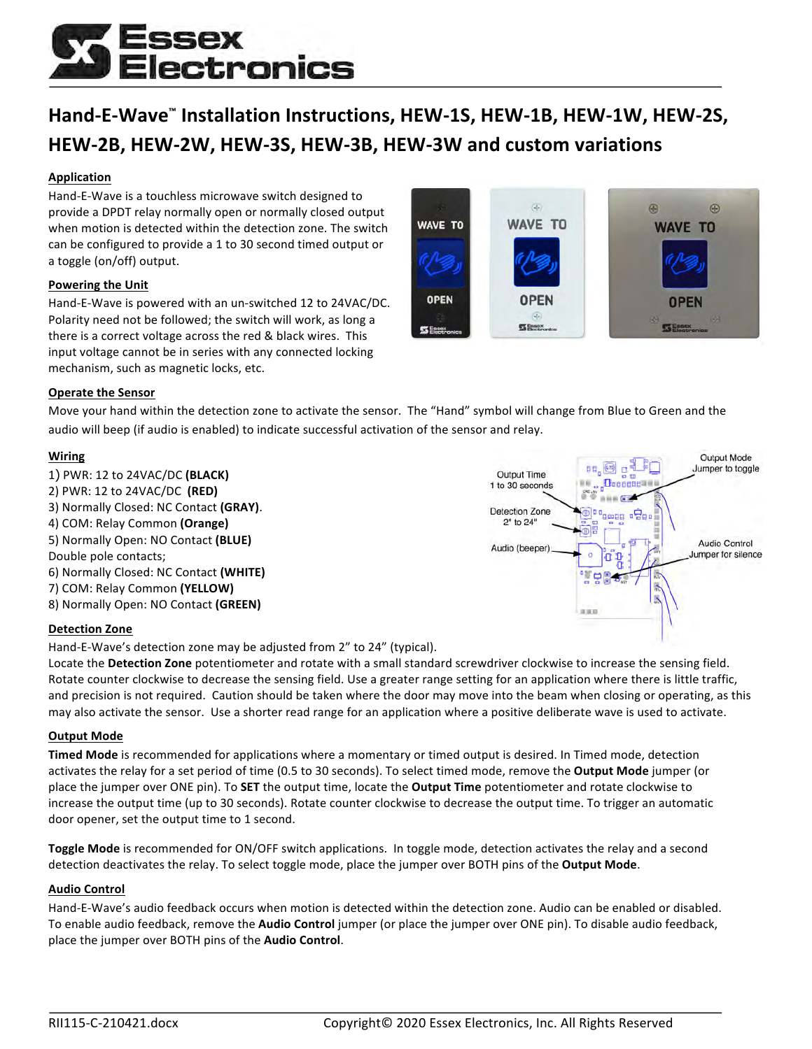# ectronics

### **Hand-E-Wave™ Installation Instructions, HEW-1S, HEW-1B, HEW-1W, HEW-2S, HEW-2B, HEW-2W, HEW-3S, HEW-3B, HEW-3W and custom variations**

#### **Application**

Hand-E-Wave is a touchless microwave switch designed to provide a DPDT relay normally open or normally closed output when motion is detected within the detection zone. The switch can be configured to provide a 1 to 30 second timed output or a toggle (on/off) output.

#### **Powering the Unit**

Hand-E-Wave is powered with an un-switched 12 to 24VAC/DC. Polarity need not be followed; the switch will work, as long a there is a correct voltage across the red & black wires. This input voltage cannot be in series with any connected locking mechanism, such as magnetic locks, etc.



#### **Operate the Sensor**

Move your hand within the detection zone to activate the sensor. The "Hand" symbol will change from Blue to Green and the audio will beep (if audio is enabled) to indicate successful activation of the sensor and relay.

#### **Wiring**

1) PWR: 12 to 24VAC/DC **(BLACK)** 2) PWR: 12 to 24VAC/DC **(RED)** 3) Normally Closed: NC Contact **(GRAY)**. 4) COM: Relay Common **(Orange)** 5) Normally Open: NO Contact **(BLUE)** Double pole contacts; 6) Normally Closed: NC Contact **(WHITE)** 7) COM: Relay Common **(YELLOW)** 8) Normally Open: NO Contact (GREEN)



#### **Detection Zone**

Hand-E-Wave's detection zone may be adjusted from 2" to 24" (typical).

Locate the Detection Zone potentiometer and rotate with a small standard screwdriver clockwise to increase the sensing field. Rotate counter clockwise to decrease the sensing field. Use a greater range setting for an application where there is little traffic, and precision is not required. Caution should be taken where the door may move into the beam when closing or operating, as this may also activate the sensor. Use a shorter read range for an application where a positive deliberate wave is used to activate.

#### **Output Mode**

**Timed Mode** is recommended for applications where a momentary or timed output is desired. In Timed mode, detection activates the relay for a set period of time (0.5 to 30 seconds). To select timed mode, remove the Output Mode jumper (or place the jumper over ONE pin). To SET the output time, locate the **Output Time** potentiometer and rotate clockwise to increase the output time (up to 30 seconds). Rotate counter clockwise to decrease the output time. To trigger an automatic door opener, set the output time to 1 second.

**Toggle Mode** is recommended for ON/OFF switch applications. In toggle mode, detection activates the relay and a second detection deactivates the relay. To select toggle mode, place the jumper over BOTH pins of the Output Mode.

#### **Audio Control**

Hand-E-Wave's audio feedback occurs when motion is detected within the detection zone. Audio can be enabled or disabled. To enable audio feedback, remove the **Audio Control** jumper (or place the jumper over ONE pin). To disable audio feedback, place the jumper over BOTH pins of the Audio Control.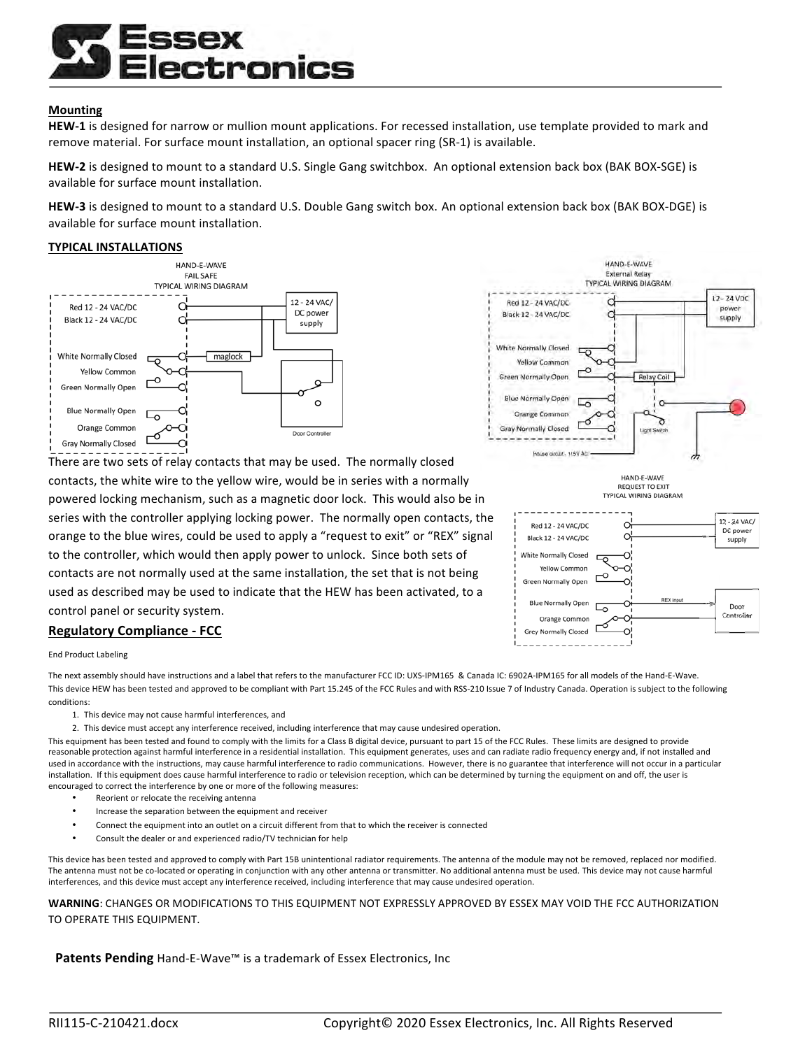## ectronics

#### **Mounting**

**HEW-1** is designed for narrow or mullion mount applications. For recessed installation, use template provided to mark and remove material. For surface mount installation, an optional spacer ring (SR-1) is available.

HEW-2 is designed to mount to a standard U.S. Single Gang switchbox. An optional extension back box (BAK BOX-SGE) is available for surface mount installation.

**HEW-3** is designed to mount to a standard U.S. Double Gang switch box. An optional extension back box (BAK BOX-DGE) is available for surface mount installation.

#### **TYPICAL INSTALLATIONS**



There are two sets of relay contacts that may be used. The normally closed contacts, the white wire to the yellow wire, would be in series with a normally powered locking mechanism, such as a magnetic door lock. This would also be in series with the controller applying locking power. The normally open contacts, the orange to the blue wires, could be used to apply a "request to exit" or "REX" signal to the controller, which would then apply power to unlock. Since both sets of contacts are not normally used at the same installation, the set that is not being used as described may be used to indicate that the HEW has been activated, to a control panel or security system.

#### **Regulatory Compliance - FCC**



The next assembly should have instructions and a label that refers to the manufacturer FCC ID: UXS-IPM165 & Canada IC: 6902A-IPM165 for all models of the Hand-E-Wave. This device HEW has been tested and approved to be compliant with Part 15.245 of the FCC Rules and with RSS-210 Issue 7 of Industry Canada. Operation is subject to the following conditions:

- 1. This device may not cause harmful interferences, and
- 2. This device must accept any interference received, including interference that may cause undesired operation.

This equipment has been tested and found to comply with the limits for a Class B digital device, pursuant to part 15 of the FCC Rules. These limits are designed to provide reasonable protection against harmful interference in a residential installation. This equipment generates, uses and can radiate radio frequency energy and, if not installed and used in accordance with the instructions, may cause harmful interference to radio communications. However, there is no guarantee that interference will not occur in a particular installation. If this equipment does cause harmful interference to radio or television reception, which can be determined by turning the equipment on and off, the user is encouraged to correct the interference by one or more of the following measures:

- Reorient or relocate the receiving antenna
- Increase the separation between the equipment and receiver
- Connect the equipment into an outlet on a circuit different from that to which the receiver is connected
- Consult the dealer or and experienced radio/TV technician for help

This device has been tested and approved to comply with Part 15B unintentional radiator requirements. The antenna of the module may not be removed, replaced nor modified. The antenna must not be co-located or operating in conjunction with any other antenna or transmitter. No additional antenna must be used. This device may not cause harmful interferences, and this device must accept any interference received, including interference that may cause undesired operation.

WARNING: CHANGES OR MODIFICATIONS TO THIS EQUIPMENT NOT EXPRESSLY APPROVED BY ESSEX MAY VOID THE FCC AUTHORIZATION TO OPERATE THIS EQUIPMENT.

**Patents Pending** Hand-E-Wave™ is a trademark of Essex Electronics, Inc



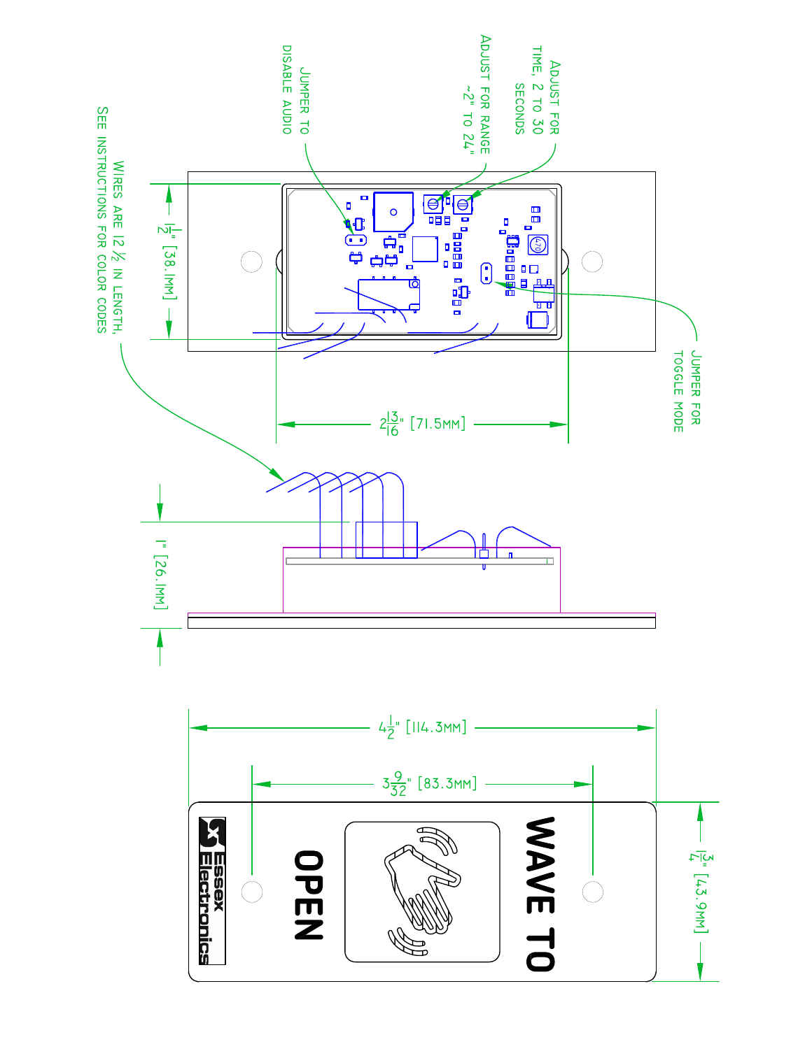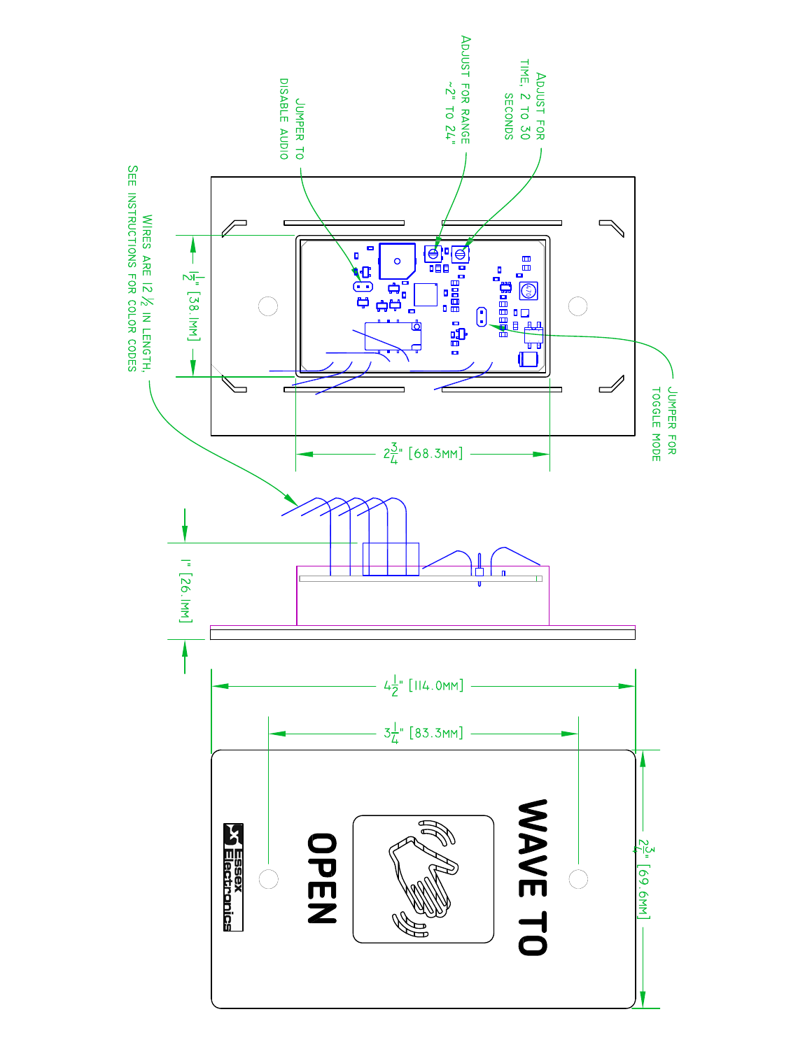